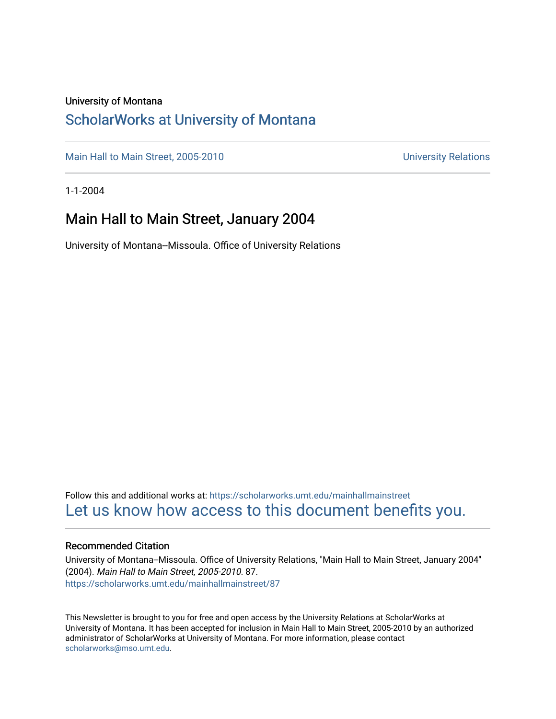#### University of Montana

#### [ScholarWorks at University of Montana](https://scholarworks.umt.edu/)

[Main Hall to Main Street, 2005-2010](https://scholarworks.umt.edu/mainhallmainstreet) Main Hall to Main Street, 2005-2010

1-1-2004

#### Main Hall to Main Street, January 2004

University of Montana--Missoula. Office of University Relations

Follow this and additional works at: [https://scholarworks.umt.edu/mainhallmainstreet](https://scholarworks.umt.edu/mainhallmainstreet?utm_source=scholarworks.umt.edu%2Fmainhallmainstreet%2F87&utm_medium=PDF&utm_campaign=PDFCoverPages) [Let us know how access to this document benefits you.](https://goo.gl/forms/s2rGfXOLzz71qgsB2) 

#### Recommended Citation

University of Montana--Missoula. Office of University Relations, "Main Hall to Main Street, January 2004" (2004). Main Hall to Main Street, 2005-2010. 87. [https://scholarworks.umt.edu/mainhallmainstreet/87](https://scholarworks.umt.edu/mainhallmainstreet/87?utm_source=scholarworks.umt.edu%2Fmainhallmainstreet%2F87&utm_medium=PDF&utm_campaign=PDFCoverPages) 

This Newsletter is brought to you for free and open access by the University Relations at ScholarWorks at University of Montana. It has been accepted for inclusion in Main Hall to Main Street, 2005-2010 by an authorized administrator of ScholarWorks at University of Montana. For more information, please contact [scholarworks@mso.umt.edu.](mailto:scholarworks@mso.umt.edu)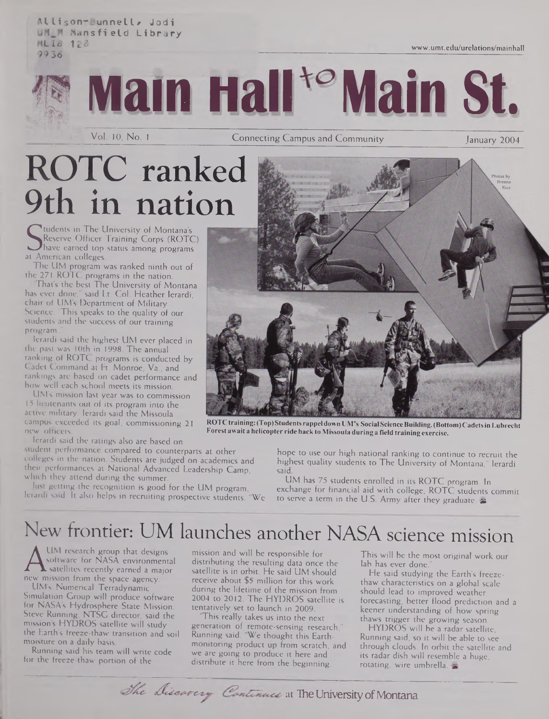**Allison-Bunnell# Jodi Mansfield Library HLI8** 128 **9936**



**main Hall<sup>to</sup> Main St.** 

Vol. 10, No. 1 **Connecting Campus and Community** 

January 2004

[www.umt.edu/urelations/mainhall](http://www.umt.edu/urelations/mainhall)

# ROTC ranked 9th in nation

Seserve Officer Train<br>at American colleges.<br>The UM colleges. tudents in The University of Montana's Reserve Officer Training Corps (ROTC) have earned top status among programs

The UM program was ranked ninth out of the 271 ROTC programs in the nation.

That's the best The University of Montana has ever done," said Lt. Col. Heather Ierardi, chair of UM's Department of Military Science. 'This speaks to the quality of our students and the success of our training program."

Ierardi said the highest UM ever placed in the past was 10th in 1998. The annual ranking of ROTC programs is conducted by Cadet Command at Ft. Monroe, Va., and rankings are based on cadet performance and how well each school meets its mission.

LIM's mission last year was to commission 15 lieutenants out of its program into the active military. Ierardi said the Missoula campus exceeded its goal, commissioning 21 new officers.

Ierardi said the ratings also are based on

student performance compared to counterparts at other colleges in the nation. Students are judged on academics and their performances at National Advanced Leadership Camp, which they attend during the summer.

Just getting the recognition is good for the UM program, Ierardi said. It also helps in recruiting prospective students. "We



ROTC training: (Top) Students rappel down UM's Social Science Building. (Bottom) Cadets in Lubrecht **Forest await a helicopter ride back to Missoula during a field training exercise.**

hope to use our high national ranking to continue to recruit the highest quality students to The University of Montana," Ierardi said.

UM has 75 students enrolled in its ROTC program. In exchange for financial aid with college, ROTC students commit to serve a term in the U.S. Army after they graduate. &

# New frontier: UM launches another NASA science mission

A software for NASA environmental<br>new mission from the space agency.<br>HAE Numorius Texts UM research group that designs software for NASA environmental satellites recently earned a major

UM's Numerical Terradynamic Simulation Group will produce software for NASA's Hydrosphere State Mission. Steve Running, NTSC director, said the mission's HYDROS satellite will study the Earth's freeze-thaw transition and soil moisture on a daily basis.

Running said his team will write code for the freeze-thaw portion of the

mission and will be responsible for distributing the resulting data once the satellite is in orbit. He said UM should receive about \$5 million for this work during the lifetime of the mission from 2004 to 2012. The HYDROS satellite is tentatively set to launch in 2009.

'This really takes us into the next generation of remote-sensing research," Running said. "We thought this Earthmonitoring product up from scratch, and we are going to produce it here and distribute it here from the beginning.

The Discovery Continues at The University of Montana

This will be the most original work our lab has ever done.

He said studying the Earth's freezethaw characteristics on a global scale should lead to improved weather forecasting, better flood prediction and a keener understanding of how spring thaws trigger the growing season.

HYDROS will be a radar satellite. Running said, so it will be able to see through clouds. In orbit the satellite and its radar dish will resemble a huge, rotating, wire umbrella,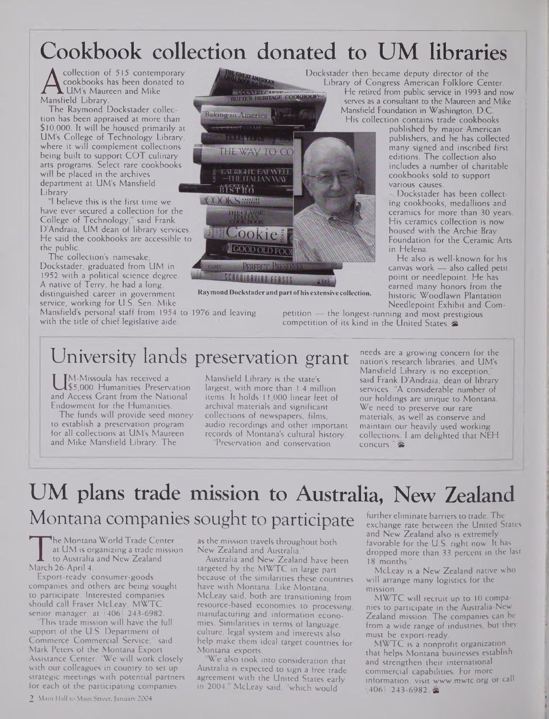## Cookbook collection donated to UM libraries

**A** cookbooks **h**<br>Mansfield Library.<br>The Raymond I collection of 515 contemporary cookbooks has been donated to **L** UM's Maureen and Mike

The Raymond Dockstader collection has been appraised at more than \$10,000. It will be housed primarily at UM's College of Technology Library, where it will complement collections being built to support COT culinary arts programs. Select rare cookbooks will be placed in the archives department at UM's Mansfield Library.

"I believe this is the first time we have ever secured a collection for the College of Technology," said Frank D'Andraia, UM dean of library services. He said the cookbooks are accessible to the public.

The collection's namesake, Dockstader, graduated from UM in 1952 with a political science degree. A native of Terry, he had a long, distinguished career in government service, working for U.S. Sen. Mike Mansfield's personal staff from 1954 <sup>t</sup> to 1976 and leaving with the title of chief legislative aide.



**Raymond Dockstader and partofhis extensive collection.**

Needlepoint Exhibit and Competition — the longest-running and most prestigious competition of its kind in the United States. &

### University lands preservation grant

and Access Grant from the National<br>Endowment for the Humanities. M-Missoula has received a \$5,000 Humanities Preservation Endowment for the Humanities.

The funds will provide seed money to establish a preservation program for all collections at UM's Maureen and Mike Mansfield Library. The

Mansfield Library is the state's largest, with more than 1.4 million items. It holds 11,000 linear feet of archival materials and significant collections of newspapers, films, audio recordings and other important records of Montana's cultural history.

"Preservation and conservation

needs are a growing concern for the nation's research libraries, and UM's Mansfield Library is no exception, said Frank D'Andraia, dean of library services. "A considerable number of our holdings are unique to Montana. We need to preserve our rare materials, as well as conserve and maintain our heavily used working collections. <sup>I</sup> am delighted that NEH concurs." &

published by major American publishers, and he has collected many signed and inscribed first editions. The collection also includes a number of charitable cookbooks sold to support

. Dockstader has been collecting cookbooks, medallions and ceramics for more than 30 years. His ceramics collection is now housed with the Archie Bray Foundation for the Ceramic Arts

He also is well-known for his canvas work — also called petit point or needlepoint. He has earned many honors from the historic Woodlawn Plantation

various causes.

in Helena.

### UM plans trade mission to Australia, New Zealand Montana companies sought to participate further eliminate barriers to trade. The

The Montana<br>
at UM is or<br>
to Australia<br>
Harch 26-April 4.<br>
Export-ready he Montana World Trade Center at UM is organizing a trade mission to Australia and New Zealand

Export-ready consumer-goods companies and others are being sought to participate. Interested companies should call Fraser McLeay, MWTC senior manager, at (406) 243-6982.

This trade mission will have the full support of the U.S. Department of Commerce Commercial Service," said Mark Peters of the Montana Export Assistance Center. "We will work closely with our colleagues in country to set up strategic meetings with potential partners for each of the participating companies

as the mission travels throughout both New Zealand and Australia."

Australia and New Zealand have been targeted by the MWTC in large part because of the similarities these countries have with Montana. Like Montana, McLeay said, both are transitioning from resource-based economies to processing, manufacturing and information economies. Similarities in terms of language, culture, legal system and interests also help make them ideal target countries for Montana exports.

We also took into consideration that Australia is expected to sign a free trade agreement with the United States early in 2004, McLeay said, "which would

exchange rate between the United States and New Zealand also is extremely favorable for the U.S. right now. It has dropped more than 33 percent in the last 18 months.

McLeay is a New Zealand native who will arrange many logistics for the mission.

MWTC will recruit up to 10 companies to participate in the Australia-New Zealand mission. The companies can be from a wide range of industries, but they must be export-ready.

MWTC is a nonprofit organization that helps Montana businesses establish and strengthen their international commercial capabilities. For more information, visit [www.mwtc.org](http://www.mwtc.org) or call  $(406)$  243-6982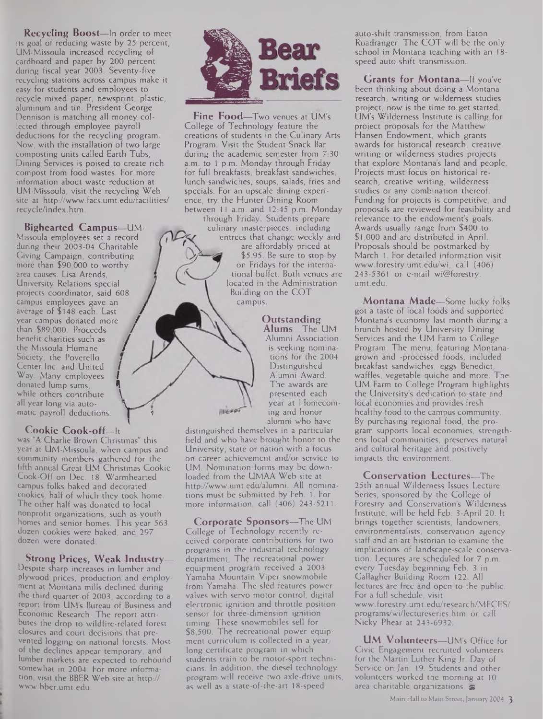**Recycling Boost—**In order to meet its goal of reducing waste by 25 percent, UM-Missoula increased recycling of cardboard and paper by 200 percent during fiscal year 2003. Seventy-five recycling stations across campus make it easy for students and employees to recycle mixed paper, newsprint, plastic, aluminum and tin. President George Dennison is matching all money collected through employee payroll deductions for the recycling program. Now, with the installation of two large composting units called Earth Tubs, Dining Services is poised to create rich compost from food wastes. For more information about waste reduction at UM-Missoula, visit the recycling Web site at <http://www.facs.umt.edu/facilities/> recycle/index.htm.

**Bighearted Campus—**UM-Missoula employees set a record during their 2003-04 Charitable Giving Campaign, contributing more than \$90,000 to worthy area causes. Lisa Arends, University Relations special projects coordinator, said 608 campus employees gave an average of \$148 each. Last / average of \$148 each. Last<br>year campus donated more<br>then \$00,000. D year campus donated more<br>than \$89,000. Proceeds than \$89,000. Proceeds<br>benefit charities such as the Missoula Humane / Society, the Poverello Center Inc. and United / Way. Many employees donated lump sums, 1 while others contribute all year long via auto- **y** matic payroll deductions.

#### **Cookie Cook-off—**It

was "A Charlie Brown Christmas" this year at UM-Missoula, when campus and community members gathered for the fifth annual Great UM Christmas Cookie Cook-Off on Dec. 18. Warmhearted campus folks baked and decorated cookies, half of which they took home. The other half was donated to local nonprofit organizations, such as youth homes and senior homes. This year 563 dozen cookies were baked, and 297 dozen were donated.

**Strong Prices, Weak Industry—**

Despite sharp increases in lumber and plywood prices, production and employment at Montana mills declined during the third quarter of 2003, according to a report from UM's Bureau of Business and Economic Research. The report attributes the drop to wildfire-related forest closures and court decisions that prevented logging on national forests. Most of the declines appear temporary, and lumber markets are expected to rebound somewhat in 2004. For more information, visit the BBER Web site at http:// [www.bber.umt.edu](http://www.bber.umt.edu).



**Fine Food—**Two venues at UM's College of Technology feature the creations of students in the Culinary Arts Program. Visit the Student Snack Bar during the academic semester from 7:30 a.m. to <sup>1</sup> p.m. Monday through Friday for full breakfasts, breakfast sandwiches, lunch sandwiches, soups, salads, fries and specials. For an upscale dining experience, try the Hunter Dining Room between 11 a.m. and 12:45 p.m. Monday

through Friday. Students prepare culinary masterpieces, including entrees that change weekly and

are affordably priced at \$5.95. Be sure to stop by on Fridays for the international buffet. Both venues are located in the Administration Building on the COT campus.

> **Outstanding Alums—**The UM Alumni Association is seeking nominations for the 2004 Distinguished Alumni Award. The awards are presented each year at Homecoming and honor alumni who have

distinguished themselves in a particular field and who have brought honor to the University, state or nation with a focus on career achievement and/or service to UM. Nomination forms may be downloaded from the UMAA Web site at <http://www.umt.edu/alumni>. All nominations must be submitted by Feb. 1. For more information, call (406) 243-5211.

 $1186666$ 

**Corporate Sponsors—**The UM College of Technology recently received corporate contributions for two programs in the industrial technology department. The recreational power equipment program received a 2003 Yamaha Mountain Viper snowmobile from Yamaha. The sled features power valves with servo motor control, digital electronic ignition and throttle position sensor for three-dimension ignition timing. These snowmobiles sell for \$8,500. The recreational power equipment curriculum is collected in a yearlong certificate program in which students train to be motor-sport technicians. In addition, the diesel technology program will receive two axle-drive units, as well as a state-of-the-art 18-speed

auto-shift transmission, from Eaton Roadranger. The COT will be the only school in Montana teaching with an 18 speed auto-shift transmission.

**Grants for Montana—**If you've been thinking about doing a Montana research, writing or wilderness studies project, now is the time to get started. UM's Wilderness Institute is calling for project proposals for the Matthew Hansen Endowment, which grants awards for historical research, creative writing or wilderness studies projects that explore Montana's land and people. Projects must focus on historical research, creative writing, wilderness studies or any combination thereof. Funding for projects is competitive, and proposals are reviewed for feasibility and relevance to the endowment's goals. Awards usually range from \$400 to \$1,000 and are distributed in April. Proposals should be postmarked by March 1. For detailed information visit [www.forestry.umt.edu/wi](http://www.forestry.umt.edu/wi), call (406) 243-5361 or e-mail wi@forestry. <umt.edu>.

**Montana Made—**Some lucky folks got a taste of local foods and supported Montana's economy last month during a brunch hosted by University Dining Services and the UM Farm to College Program. The menu, featuring Montanagrown and -processed foods, included breakfast sandwiches, eggs Benedict, waffles, vegetable quiche and more. The UM Farm to College Program highlights the University's dedication to state and local economies and provides fresh healthy food to the campus community. By purchasing regional food, the program supports local economies, strengthens local communities, preserves natural and cultural heritage and positively impacts the environment.

**Conservation Lectures—**The 25th annual Wilderness Issues Lecture Series, sponsored by the College of Forestry and Conservation's Wilderness Institute, will be held Feb. 3-April 20. It brings together scientists, landowners, environmentalists, conservation agency staff and an art historian to examine the implications of landscape-scale conservation. Lectures are scheduled for 7 p.m. every Tuesday beginning Feb. 3 in Gallagher Building Room 122. All lectures are free and open to the public. For a full schedule, visit [www.forestry.umt.edu/research/MFCES/](http://www.forestry.umt.edu/research/MFCES/) programs/wi/lectureseries.htm or call Nicky Phear at 243-6932.

**UM Volunteers—**UM's Office for Civic Engagement recruited volunteers for the Martin Luther King Jr. Day of Service on Jan. 19. Students and other volunteers worked the morning at 10 area charitable organizations.